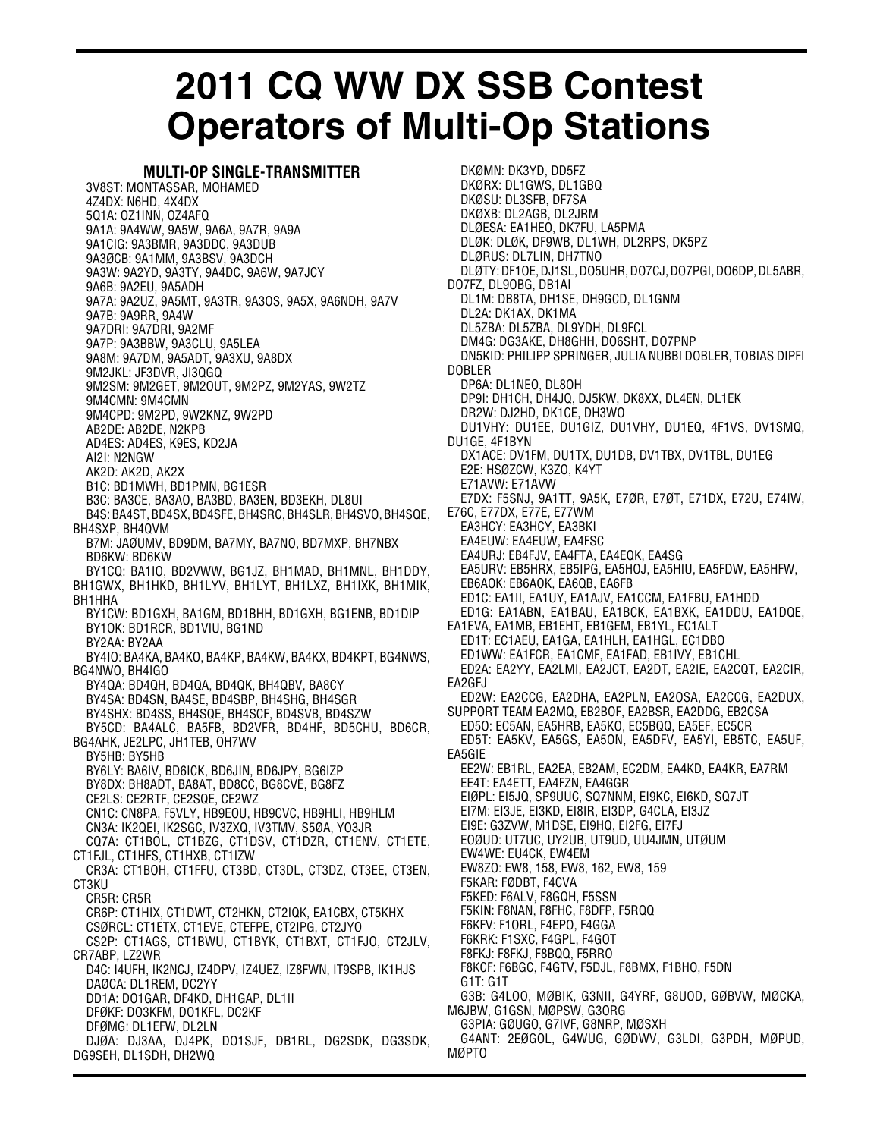## **2011 CQ WW DX SSB Contest Operators of Multi-Op Stations**

## **MULTI-OP SINGLE-TRANSMITTER**

3V8ST: MONTASSAR, MOHAMED 4Z4DX: N6HD, 4X4DX 5Q1A: OZ1INN, OZ4AFQ 9A1A: 9A4WW, 9A5W, 9A6A, 9A7R, 9A9A 9A1CIG: 9A3BMR, 9A3DDC, 9A3DUB 9A3ØCB: 9A1MM, 9A3BSV, 9A3DCH 9A3W: 9A2YD, 9A3TY, 9A4DC, 9A6W, 9A7JCY 9A6B: 9A2EU, 9A5ADH 9A7A: 9A2UZ, 9A5MT, 9A3TR, 9A3OS, 9A5X, 9A6NDH, 9A7V 9A7B: 9A9RR, 9A4W 9A7DRI: 9A7DRI, 9A2MF 9A7P: 9A3BBW, 9A3CLU, 9A5LEA 9A8M: 9A7DM, 9A5ADT, 9A3XU, 9A8DX 9M2JKL: JF3DVR, JI3QGQ 9M2SM: 9M2GET, 9M2OUT, 9M2PZ, 9M2YAS, 9W2TZ 9M4CMN: 9M4CMN 9M4CPD: 9M2PD, 9W2KNZ, 9W2PD AB2DE: AB2DE, N2KPB AD4ES: AD4ES, K9ES, KD2JA AI2I: N2NGW AK2D: AK2D, AK2X B1C: BD1MWH, BD1PMN, BG1ESR B3C: BA3CE, BA3AO, BA3BD, BA3EN, BD3EKH, DL8UI B4S: BA4ST, BD4SX, BD4SFE, BH4SRC, BH4SLR, BH4SVO, BH4SQE, BH4SXP, BH4QVM B7M: JAØUMV, BD9DM, BA7MY, BA7NO, BD7MXP, BH7NBX BD6KW: BD6KW BY1CQ: BA1IO, BD2VWW, BG1JZ, BH1MAD, BH1MNL, BH1DDY, BH1GWX, BH1HKD, BH1LYV, BH1LYT, BH1LXZ, BH1IXK, BH1MIK, BH1HHA BY1CW: BD1GXH, BA1GM, BD1BHH, BD1GXH, BG1ENB, BD1DIP BY1OK: BD1RCR, BD1VIU, BG1ND BY2AA: BY2AA BY4IO: BA4KA, BA4KO, BA4KP, BA4KW, BA4KX, BD4KPT, BG4NWS, BG4NWO, BH4IGO BY4QA: BD4QH, BD4QA, BD4QK, BH4QBV, BA8CY BY4SA: BD4SN, BA4SE, BD4SBP, BH4SHG, BH4SGR BY4SHX: BD4SS, BH4SQE, BH4SCF, BD4SVB, BD4SZW BY5CD: BA4ALC, BA5FB, BD2VFR, BD4HF, BD5CHU, BD6CR, BG4AHK, JE2LPC, JH1TEB, OH7WV BY5HB: BY5HB BY6LY: BA6IV, BD6ICK, BD6JIN, BD6JPY, BG6IZP BY8DX: BH8ADT, BA8AT, BD8CC, BG8CVE, BG8FZ CE2LS: CE2RTF, CE2SQE, CE2WZ CN1C: CN8PA, F5VLY, HB9EOU, HB9CVC, HB9HLI, HB9HLM CN3A: IK2QEI, IK2SGC, IV3ZXQ, IV3TMV, S5ØA, YO3JR CQ7A: CT1BOL, CT1BZG, CT1DSV, CT1DZR, CT1ENV, CT1ETE, CT1FJL, CT1HFS, CT1HXB, CT1IZW CR3A: CT1BOH, CT1FFU, CT3BD, CT3DL, CT3DZ, CT3EE, CT3EN, CT3KU CR5R: CR5R CR6P: CT1HIX, CT1DWT, CT2HKN, CT2IQK, EA1CBX, CT5KHX CSØRCL: CT1ETX, CT1EVE, CTEFPE, CT2IPG, CT2JYO CS2P: CT1AGS, CT1BWU, CT1BYK, CT1BXT, CT1FJO, CT2JLV, CR7ABP, LZ2WR D4C: I4UFH, IK2NCJ, IZ4DPV, IZ4UEZ, IZ8FWN, IT9SPB, IK1HJS DAØCA: DL1REM, DC2YY DD1A: DO1GAR, DF4KD, DH1GAP, DL1II DFØKF: DO3KFM, DO1KFL, DC2KF DFØMG: DL1EFW, DL2LN DJØA: DJ3AA, DJ4PK, DO1SJF, DB1RL, DG2SDK, DG3SDK, DG9SEH, DL1SDH, DH2WQ

DKØMN: DK3YD, DD5FZ DKØRX: DL1GWS, DL1GBQ DKØSU: DL3SFB, DF7SA DKØXB: DL2AGB, DL2JRM DLØESA: EA1HEO, DK7FU, LA5PMA DLØK: DLØK, DF9WB, DL1WH, DL2RPS, DK5PZ DLØRUS: DL7LIN, DH7TNO DLØTY: DF1OE, DJ1SL, DO5UHR, DO7CJ, DO7PGI, DO6DP, DL5ABR, DO7FZ, DL9OBG, DB1AI DL1M: DB8TA, DH1SE, DH9GCD, DL1GNM DL2A: DK1AX, DK1MA DL5ZBA: DL5ZBA, DL9YDH, DL9FCL DM4G: DG3AKE, DH8GHH, DO6SHT, DO7PNP DN5KID: PHILIPP SPRINGER, JULIA NUBBI DOBLER, TOBIAS DIPFI DOBLER DP6A: DL1NEO, DL8OH DP9I: DH1CH, DH4JQ, DJ5KW, DK8XX, DL4EN, DL1EK DR2W: DJ2HD, DK1CE, DH3WO DU1VHY: DU1EE, DU1GIZ, DU1VHY, DU1EQ, 4F1VS, DV1SMQ, DU1GE, 4F1BYN DX1ACE: DV1FM, DU1TX, DU1DB, DV1TBX, DV1TBL, DU1EG E2E: HSØZCW, K3ZO, K4YT E71AVW: E71AVW E7DX: F5SNJ, 9A1TT, 9A5K, E7ØR, E7ØT, E71DX, E72U, E74IW, E76C, E77DX, E77E, E77WM EA3HCY: EA3HCY, EA3BKI EA4EUW: EA4EUW, EA4FSC EA4URJ: EB4FJV, EA4FTA, EA4EQK, EA4SG EA5URV: EB5HRX, EB5IPG, EA5HOJ, EA5HIU, EA5FDW, EA5HFW, EB6AOK: EB6AOK, EA6QB, EA6FB ED1C: EA1II, EA1UY, EA1AJV, EA1CCM, EA1FBU, EA1HDD ED1G: EA1ABN, EA1BAU, EA1BCK, EA1BXK, EA1DDU, EA1DQE, EA1EVA, EA1MB, EB1EHT, EB1GEM, EB1YL, EC1ALT ED1T: EC1AEU, EA1GA, EA1HLH, EA1HGL, EC1DBO ED1WW: EA1FCR, EA1CMF, EA1FAD, EB1IVY, EB1CHL ED2A: EA2YY, EA2LMI, EA2JCT, EA2DT, EA2IE, EA2CQT, EA2CIR, EA2GFJ ED2W: EA2CCG, EA2DHA, EA2PLN, EA2OSA, EA2CCG, EA2DUX, SUPPORT TEAM EA2MQ, EB2BOF, EA2BSR, EA2DDG, EB2CSA ED5O: EC5AN, EA5HRB, EA5KO, EC5BQQ, EA5EF, EC5CR ED5T: EA5KV, EA5GS, EA5ON, EA5DFV, EA5YI, EB5TC, EA5UF, EA5GIE EE2W: EB1RL, EA2EA, EB2AM, EC2DM, EA4KD, EA4KR, EA7RM EE4T: EA4ETT, EA4FZN, EA4GGR EIØPL: EI5JQ, SP9UUC, SQ7NNM, EI9KC, EI6KD, SQ7JT EI7M: EI3JE, EI3KD, EI8IR, EI3DP, G4CLA, EI3JZ EI9E: G3ZVW, M1DSE, EI9HQ, EI2FG, EI7FJ EOØUD: UT7UC, UY2UB, UT9UD, UU4JMN, UTØUM EW4WE: EU4CK, EW4EM EW8ZO: EW8, 158, EW8, 162, EW8, 159 F5KAR: FØDBT, F4CVA F5KED: F6ALV, F8GQH, F5SSN F5KIN: F8NAN, F8FHC, F8DFP, F5RQQ F6KFV: F1ORL, F4EPO, F4GGA F6KRK: F1SXC, F4GPL, F4GOT F8FKJ: F8FKJ, F8BQQ, F5RRO F8KCF: F6BGC, F4GTV, F5DJL, F8BMX, F1BHO, F5DN G1T: G1T G3B: G4LOO, MØBIK, G3NII, G4YRF, G8UOD, GØBVW, MØCKA, M6JBW, G1GSN, MØPSW, G3ORG G3PIA: GØUGO, G7IVF, G8NRP, MØSXH G4ANT: 2EØGOL, G4WUG, GØDWV, G3LDI, G3PDH, MØPUD, MØPTO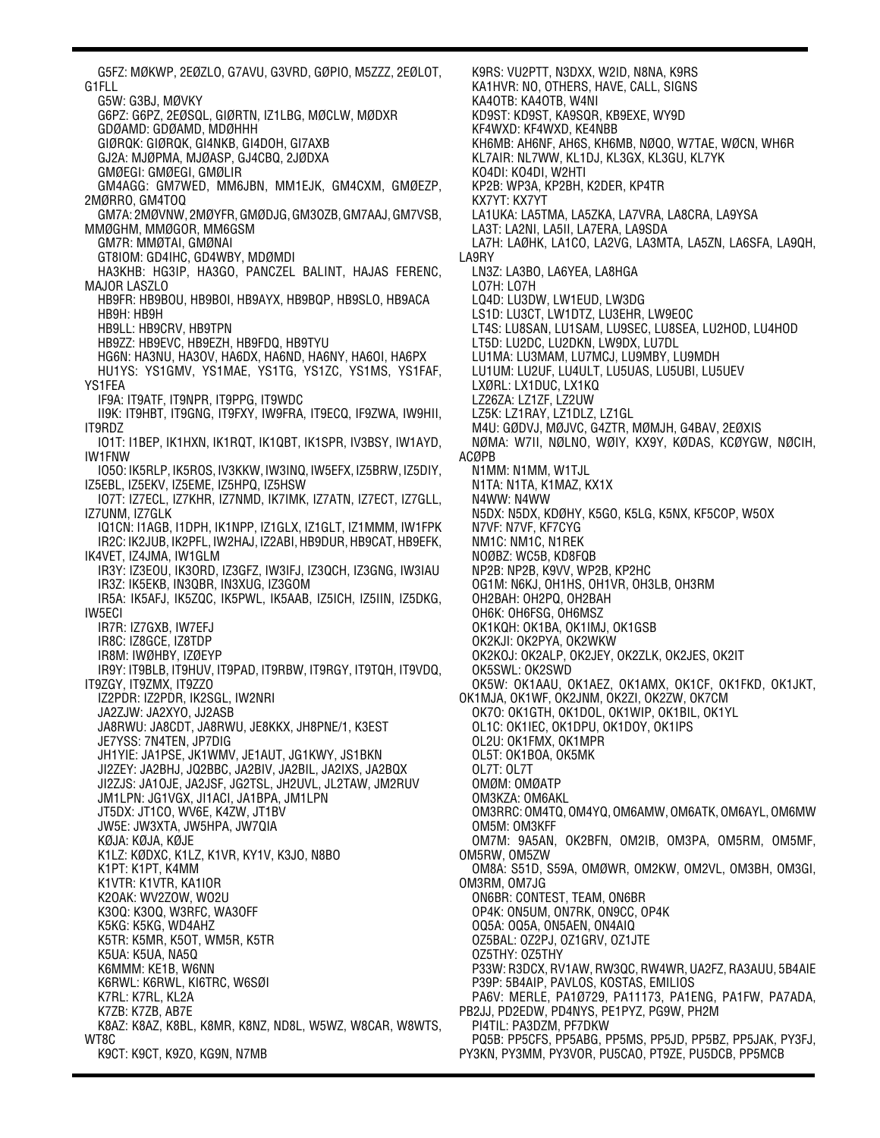G5FZ: MØKWP, 2EØZLO, G7AVU, G3VRD, GØPIO, M5ZZZ, 2EØLOT, G1FLL G5W: G3BJ, MØVKY G6PZ: G6PZ, 2EØSQL, GIØRTN, IZ1LBG, MØCLW, MØDXR GDØAMD: GDØAMD, MDØHHH GIØRQK: GIØRQK, GI4NKB, GI4DOH, GI7AXB GJ2A: MJØPMA, MJØASP, GJ4CBQ, 2JØDXA GMØEGI: GMØEGI, GMØLIR GM4AGG: GM7WED, MM6JBN, MM1EJK, GM4CXM, GMØEZP, 2MØRRO, GM4TOQ GM7A: 2MØVNW, 2MØYFR, GMØDJG, GM3OZB, GM7AAJ, GM7VSB, MMØGHM, MMØGOR, MM6GSM GM7R: MMØTAI, GMØNAI GT8IOM: GD4IHC, GD4WBY, MDØMDI HA3KHB: HG3IP, HA3GO, PANCZEL BALINT, HAJAS FERENC, MAJOR LASZLO HB9FR: HB9BOU, HB9BOI, HB9AYX, HB9BQP, HB9SLO, HB9ACA HB9H: HB9H HB9LL: HB9CRV, HB9TPN HB9ZZ: HB9EVC, HB9EZH, HB9FDQ, HB9TYU HG6N: HA3NU, HA3OV, HA6DX, HA6ND, HA6NY, HA6OI, HA6PX HU1YS: YS1GMV, YS1MAE, YS1TG, YS1ZC, YS1MS, YS1FAF, YS1FEA IF9A: IT9ATF, IT9NPR, IT9PPG, IT9WDC II9K: IT9HBT, IT9GNG, IT9FXY, IW9FRA, IT9ECQ, IF9ZWA, IW9HII, IT9RDZ IO1T: I1BEP, IK1HXN, IK1RQT, IK1QBT, IK1SPR, IV3BSY, IW1AYD, IW1FNW IO5O: IK5RLP, IK5ROS, IV3KKW, IW3INQ, IW5EFX, IZ5BRW, IZ5DIY, IZ5EBL, IZ5EKV, IZ5EME, IZ5HPQ, IZ5HSW IO7T: IZ7ECL, IZ7KHR, IZ7NMD, IK7IMK, IZ7ATN, IZ7ECT, IZ7GLL, IZ7UNM, IZ7GLK IQ1CN: I1AGB, I1DPH, IK1NPP, IZ1GLX, IZ1GLT, IZ1MMM, IW1FPK IR2C: IK2JUB, IK2PFL, IW2HAJ, IZ2ABI, HB9DUR, HB9CAT, HB9EFK, IK4VET, IZ4JMA, IW1GLM IR3Y: IZ3EOU, IK3ORD, IZ3GFZ, IW3IFJ, IZ3QCH, IZ3GNG, IW3IAU IR3Z: IK5EKB, IN3QBR, IN3XUG, IZ3GOM IR5A: IK5AFJ, IK5ZQC, IK5PWL, IK5AAB, IZ5ICH, IZ5IIN, IZ5DKG, IW5ECI IR7R: IZ7GXB, IW7EFJ IR8C: IZ8GCE, IZ8TDP IR8M: IWØHBY, IZØEYP IR9Y: IT9BLB, IT9HUV, IT9PAD, IT9RBW, IT9RGY, IT9TQH, IT9VDQ, IT9ZGY, IT9ZMX, IT9ZZO IZ2PDR: IZ2PDR, IK2SGL, IW2NRI JA2ZJW: JA2XYO, JJ2ASB JA8RWU: JA8CDT, JA8RWU, JE8KKX, JH8PNE/1, K3EST JE7YSS: 7N4TEN, JP7DIG JH1YIE: JA1PSE, JK1WMV, JE1AUT, JG1KWY, JS1BKN JI2ZEY: JA2BHJ, JQ2BBC, JA2BIV, JA2BIL, JA2IXS, JA2BQX JI2ZJS: JA1OJE, JA2JSF, JG2TSL, JH2UVL, JL2TAW, JM2RUV JM1LPN: JG1VGX, JI1ACI, JA1BPA, JM1LPN JT5DX: JT1CO, WV6E, K4ZW, JT1BV JW5E: JW3XTA, JW5HPA, JW7QIA KØJA: KØJA, KØJE K1LZ: KØDXC, K1LZ, K1VR, KY1V, K3JO, N8BO K1PT: K1PT, K4MM K1VTR: K1VTR, KA1IOR K2OAK: WV2ZOW, WO2U K3OQ: K3OQ, W3RFC, WA3OFF K5KG: K5KG, WD4AHZ K5TR: K5MR, K5OT, WM5R, K5TR K5UA: K5UA, NA5Q K6MMM: KE1B, W6NN K6RWL: K6RWL, KI6TRC, W6SØI K7RL: K7RL, KL2A K7ZB: K7ZB, AB7E K8AZ: K8AZ, K8BL, K8MR, K8NZ, ND8L, W5WZ, W8CAR, W8WTS, WT8C K9CT: K9CT, K9ZO, KG9N, N7MB

K9RS: VU2PTT, N3DXX, W2ID, N8NA, K9RS KA1HVR: NO, OTHERS, HAVE, CALL, SIGNS KA4OTB: KA4OTB, W4NI KD9ST: KD9ST, KA9SQR, KB9EXE, WY9D KF4WXD: KF4WXD, KE4NBB KH6MB: AH6NF, AH6S, KH6MB, NØQO, W7TAE, WØCN, WH6R KL7AIR: NL7WW, KL1DJ, KL3GX, KL3GU, KL7YK KO4DI: KO4DI, W2HTI KP2B: WP3A, KP2BH, K2DER, KP4TR KX7YT: KX7YT LA1UKA: LA5TMA, LA5ZKA, LA7VRA, LA8CRA, LA9YSA LA3T: LA2NI, LA5II, LA7ERA, LA9SDA LA7H: LAØHK, LA1CO, LA2VG, LA3MTA, LA5ZN, LA6SFA, LA9QH, LA9RY LN3Z: LA3BO, LA6YEA, LA8HGA LO7H: LO7H LQ4D: LU3DW, LW1EUD, LW3DG LS1D: LU3CT, LW1DTZ, LU3EHR, LW9EOC LT4S: LU8SAN, LU1SAM, LU9SEC, LU8SEA, LU2HOD, LU4HOD LT5D: LU2DC, LU2DKN, LW9DX, LU7DL LU1MA: LU3MAM, LU7MCJ, LU9MBY, LU9MDH LU1UM: LU2UF, LU4ULT, LU5UAS, LU5UBI, LU5UEV LXØRL: LX1DUC, LX1KQ LZ26ZA: LZ1ZF, LZ2UW LZ5K: LZ1RAY, LZ1DLZ, LZ1GL M4U: GØDVJ, MØJVC, G4ZTR, MØMJH, G4BAV, 2EØXIS NØMA: W7II, NØLNO, WØIY, KX9Y, KØDAS, KCØYGW, NØCIH, ACØPB N1MM: N1MM, W1TJL N1TA: N1TA, K1MAZ, KX1X N4WW: N4WW N5DX: N5DX, KDØHY, K5GO, K5LG, K5NX, KF5COP, W5OX N7VF: N7VF, KF7CYG NM1C: NM1C, N1REK NOØBZ: WC5B, KD8FQB NP2B: NP2B, K9VV, WP2B, KP2HC OG1M: N6KJ, OH1HS, OH1VR, OH3LB, OH3RM OH2BAH: OH2PQ, OH2BAH OH6K: OH6FSG, OH6MSZ OK1KQH: OK1BA, OK1IMJ, OK1GSB OK2KJI: OK2PYA, OK2WKW OK2KOJ: OK2ALP, OK2JEY, OK2ZLK, OK2JES, OK2IT OK5SWL: OK2SWD OK5W: OK1AAU, OK1AEZ, OK1AMX, OK1CF, OK1FKD, OK1JKT, OK1MJA, OK1WF, OK2JNM, OK2ZI, OK2ZW, OK7CM OK7O: OK1GTH, OK1DOL, OK1WIP, OK1BIL, OK1YL OL1C: OK1IEC, OK1DPU, OK1DOY, OK1IPS OL2U: OK1FMX, OK1MPR OL5T: OK1BOA, OK5MK OL7T: OL7T OMØM: OMØATP OM3KZA: OM6AKL OM3RRC: OM4TQ, OM4YQ, OM6AMW, OM6ATK, OM6AYL, OM6MW OM5M: OM3KFF OM7M: 9A5AN, OK2BFN, OM2IB, OM3PA, OM5RM, OM5MF, OM5RW, OM5ZW OM8A: S51D, S59A, OMØWR, OM2KW, OM2VL, OM3BH, OM3GI, OM3RM, OM7JG ON6BR: CONTEST, TEAM, ON6BR OP4K: ON5UM, ON7RK, ON9CC, OP4K OQ5A: OQ5A, ON5AEN, ON4AIQ OZ5BAL: OZ2PJ, OZ1GRV, OZ1JTE OZ5THY: OZ5THY P33W: R3DCX, RV1AW, RW3QC, RW4WR, UA2FZ, RA3AUU, 5B4AIE P39P: 5B4AIP, PAVLOS, KOSTAS, EMILIOS PA6V: MERLE, PA1Ø729, PA11173, PA1ENG, PA1FW, PA7ADA, PB2JJ, PD2EDW, PD4NYS, PE1PYZ, PG9W, PH2M PI4TIL: PA3DZM, PF7DKW PQ5B: PP5CFS, PP5ABG, PP5MS, PP5JD, PP5BZ, PP5JAK, PY3FJ, PY3KN, PY3MM, PY3VOR, PU5CAO, PT9ZE, PU5DCB, PP5MCB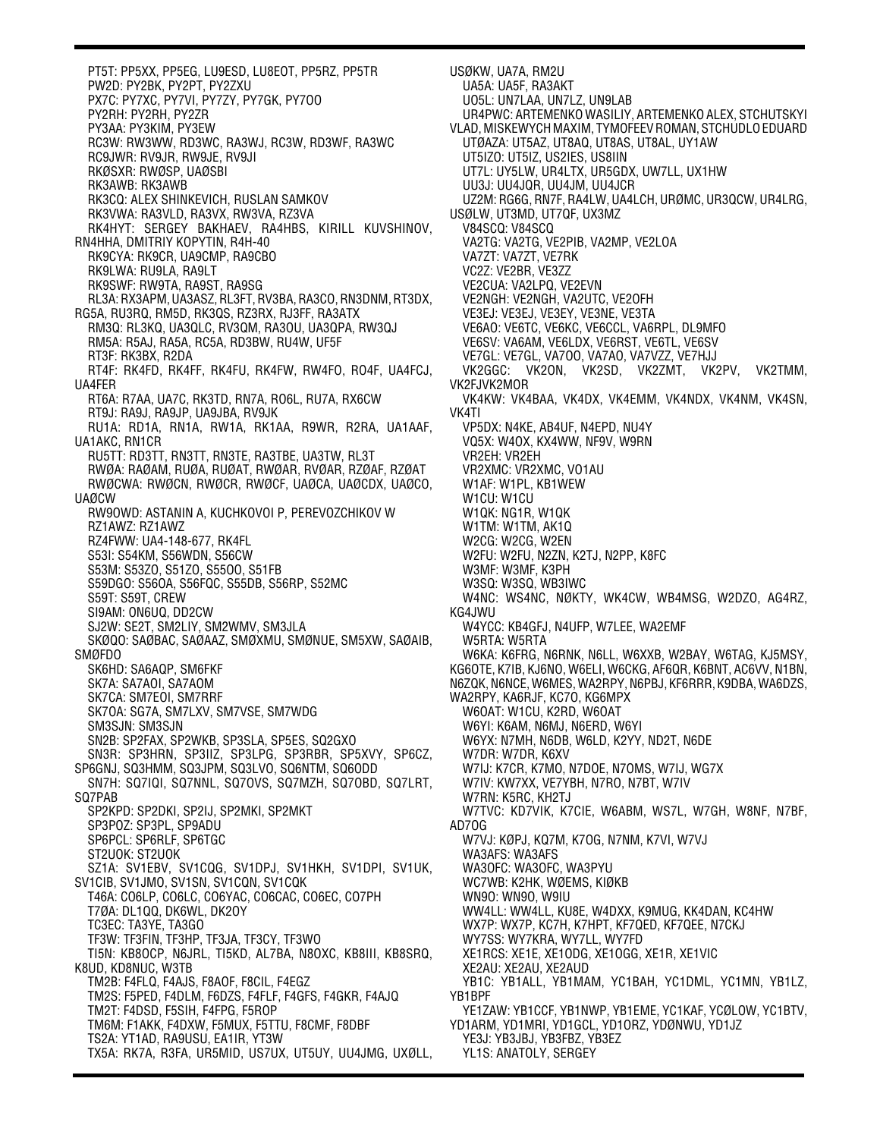PT5T: PP5XX, PP5EG, LU9ESD, LU8EOT, PP5RZ, PP5TR PW2D: PY2BK, PY2PT, PY2ZXU PX7C: PY7XC, PY7VI, PY7ZY, PY7GK, PY7OO PY2RH: PY2RH, PY2ZR PY3AA: PY3KIM, PY3EW RC3W: RW3WW, RD3WC, RA3WJ, RC3W, RD3WF, RA3WC RC9JWR: RV9JR, RW9JE, RV9JI RKØSXR: RWØSP, UAØSBI RK3AWB: RK3AWB RK3CQ: ALEX SHINKEVICH, RUSLAN SAMKOV RK3VWA: RA3VLD, RA3VX, RW3VA, RZ3VA RK4HYT: SERGEY BAKHAEV, RA4HBS, KIRILL KUVSHINOV, RN4HHA, DMITRIY KOPYTIN, R4H-40 RK9CYA: RK9CR, UA9CMP, RA9CBO RK9LWA: RU9LA, RA9LT RK9SWF: RW9TA, RA9ST, RA9SG RL3A: RX3APM, UA3ASZ, RL3FT, RV3BA, RA3CO, RN3DNM, RT3DX, RG5A, RU3RQ, RM5D, RK3QS, RZ3RX, RJ3FF, RA3ATX RM3Q: RL3KQ, UA3QLC, RV3QM, RA3OU, UA3QPA, RW3QJ RM5A: R5AJ, RA5A, RC5A, RD3BW, RU4W, UF5F RT3F: RK3BX, R2DA RT4F: RK4FD, RK4FF, RK4FU, RK4FW, RW4FO, RO4F, UA4FCJ, UA4FER RT6A: R7AA, UA7C, RK3TD, RN7A, RO6L, RU7A, RX6CW RT9J: RA9J, RA9JP, UA9JBA, RV9JK RU1A: RD1A, RN1A, RW1A, RK1AA, R9WR, R2RA, UA1AAF, UA1AKC, RN1CR RU5TT: RD3TT, RN3TT, RN3TE, RA3TBE, UA3TW, RL3T RWØA: RAØAM, RUØA, RUØAT, RWØAR, RVØAR, RZØAF, RZØAT RWØCWA: RWØCN, RWØCR, RWØCF, UAØCA, UAØCDX, UAØCO, UAØCW RW9OWD: ASTANIN A, KUCHKOVOI P, PEREVOZCHIKOV W RZ1AWZ: RZ1AWZ RZ4FWW: UA4-148-677, RK4FL S53I: S54KM, S56WDN, S56CW S53M: S53ZO, S51ZO, S55OO, S51FB S59DGO: S56OA, S56FQC, S55DB, S56RP, S52MC S59T: S59T, CREW SI9AM: ON6UQ, DD2CW SJ2W: SE2T, SM2LIY, SM2WMV, SM3JLA SKØQO: SAØBAC, SAØAAZ, SMØXMU, SMØNUE, SM5XW, SAØAIB, SMØFDO SK6HD: SA6AQP, SM6FKF SK7A: SA7AOI, SA7AOM SK7CA: SM7EOI, SM7RRF SK7OA: SG7A, SM7LXV, SM7VSE, SM7WDG SM3SJN: SM3SJN SN2B: SP2FAX, SP2WKB, SP3SLA, SP5ES, SQ2GXO SN3R: SP3HRN, SP3IIZ, SP3LPG, SP3RBR, SP5XVY, SP6CZ, SP6GNJ, SQ3HMM, SQ3JPM, SQ3LVO, SQ6NTM, SQ6ODD SN7H: SQ7IQI, SQ7NNL, SQ7OVS, SQ7MZH, SQ7OBD, SQ7LRT, SQ7PAB SP2KPD: SP2DKI, SP2IJ, SP2MKI, SP2MKT SP3POZ: SP3PL, SP9ADU SP6PCL: SP6RLF, SP6TGC ST2UOK: ST2UOK SZ1A: SV1EBV, SV1CQG, SV1DPJ, SV1HKH, SV1DPI, SV1UK, SV1CIB, SV1JMO, SV1SN, SV1CQN, SV1CQK T46A: CO6LP, CO6LC, CO6YAC, CO6CAC, CO6EC, CO7PH T7ØA: DL1QQ, DK6WL, DK2OY TC3EC: TA3YE, TA3GO TF3W: TF3FIN, TF3HP, TF3JA, TF3CY, TF3WO TI5N: KB8OCP, N6JRL, TI5KD, AL7BA, N8OXC, KB8III, KB8SRQ, K8UD, KD8NUC, W3TB TM2B: F4FLQ, F4AJS, F8AOF, F8CIL, F4EGZ TM2S: F5PED, F4DLM, F6DZS, F4FLF, F4GFS, F4GKR, F4AJQ TM2T: F4DSD, F5SIH, F4FPG, F5ROP TM6M: F1AKK, F4DXW, F5MUX, F5TTU, F8CMF, F8DBF TS2A: YT1AD, RA9USU, EA1IR, YT3W TX5A: RK7A, R3FA, UR5MID, US7UX, UT5UY, UU4JMG, UXØLL,

USØKW, UA7A, RM2U UA5A: UA5F, RA3AKT UO5L: UN7LAA, UN7LZ, UN9LAB UR4PWC: ARTEMENKO WASILIY, ARTEMENKO ALEX, STCHUTSKYI VLAD, MISKEWYCH MAXIM, TYMOFEEV ROMAN, STCHUDLO EDUARD UTØAZA: UT5AZ, UT8AQ, UT8AS, UT8AL, UY1AW UT5IZO: UT5IZ, US2IES, US8IIN UT7L: UY5LW, UR4LTX, UR5GDX, UW7LL, UX1HW UU3J: UU4JQR, UU4JM, UU4JCR UZ2M: RG6G, RN7F, RA4LW, UA4LCH, URØMC, UR3QCW, UR4LRG, USØLW, UT3MD, UT7QF, UX3MZ V84SCQ: V84SCQ VA2TG: VA2TG, VE2PIB, VA2MP, VE2LOA VA7ZT: VA7ZT, VE7RK VC2Z: VE2BR, VE3ZZ VE2CUA: VA2LPQ, VE2EVN VE2NGH: VE2NGH, VA2UTC, VE2OFH VE3EJ: VE3EJ, VE3EY, VE3NE, VE3TA VE6AO: VE6TC, VE6KC, VE6CCL, VA6RPL, DL9MFO VE6SV: VA6AM, VE6LDX, VE6RST, VE6TL, VE6SV VE7GL: VE7GL, VA7OO, VA7AO, VA7VZZ, VE7HJJ VK2GGC: VK2ON, VK2SD, VK2ZMT, VK2PV, VK2TMM, VK2FJVK2MOR VK4KW: VK4BAA, VK4DX, VK4EMM, VK4NDX, VK4NM, VK4SN, VK4TI VP5DX: N4KE, AB4UF, N4EPD, NU4Y VQ5X: W4OX, KX4WW, NF9V, W9RN VR2EH: VR2EH VR2XMC: VR2XMC, VO1AU W1AF: W1PL, KB1WEW W1CU: W1CU W1QK: NG1R, W1QK W1TM: W1TM, AK1Q W2CG: W2CG, W2EN W2FU: W2FU, N2ZN, K2TJ, N2PP, K8FC W3MF: W3MF, K3PH W3SQ: W3SQ, WB3IWC W4NC: WS4NC, NØKTY, WK4CW, WB4MSG, W2DZO, AG4RZ, KG4JWU W4YCC: KB4GFJ, N4UFP, W7LEE, WA2EMF W5RTA: W5RTA W6KA: K6FRG, N6RNK, N6LL, W6XXB, W2BAY, W6TAG, KJ5MSY, KG6OTE, K7IB, KJ6NO, W6ELI, W6CKG, AF6QR, K6BNT, AC6VV, N1BN, N6ZQK, N6NCE, W6MES, WA2RPY, N6PBJ, KF6RRR, K9DBA, WA6DZS, WA2RPY, KA6RJF, KC7O, KG6MPX W6OAT: W1CU, K2RD, W6OAT W6YI: K6AM, N6MJ, N6ERD, W6YI W6YX: N7MH, N6DB, W6LD, K2YY, ND2T, N6DE W7DR: W7DR, K6XV W7IJ: K7CR, K7MO, N7DOE, N7OMS, W7IJ, WG7X W7IV: KW7XX, VE7YBH, N7RO, N7BT, W7IV W7RN: K5RC, KH2TJ W7TVC: KD7VIK, K7CIE, W6ABM, WS7L, W7GH, W8NF, N7BF, AD7OG W7VJ: KØPJ, KQ7M, K7OG, N7NM, K7VI, W7VJ WA3AFS: WA3AFS WA3OFC: WA3OFC, WA3PYU WC7WB: K2HK, WØEMS, KIØKB WN9O: WN9O, W9IU WW4LL: WW4LL, KU8E, W4DXX, K9MUG, KK4DAN, KC4HW WX7P: WX7P, KC7H, K7HPT, KF7QED, KF7QEE, N7CKJ WY7SS: WY7KRA, WY7LL, WY7FD XE1RCS: XE1E, XE1ODG, XE1OGG, XE1R, XE1VIC XE2AU: XE2AU, XE2AUD YB1C: YB1ALL, YB1MAM, YC1BAH, YC1DML, YC1MN, YB1LZ, YB1BPF YE1ZAW: YB1CCF, YB1NWP, YB1EME, YC1KAF, YCØLOW, YC1BTV, YD1ARM, YD1MRI, YD1GCL, YD1ORZ, YDØNWU, YD1JZ YE3J: YB3JBJ, YB3FBZ, YB3EZ YL1S: ANATOLY, SERGEY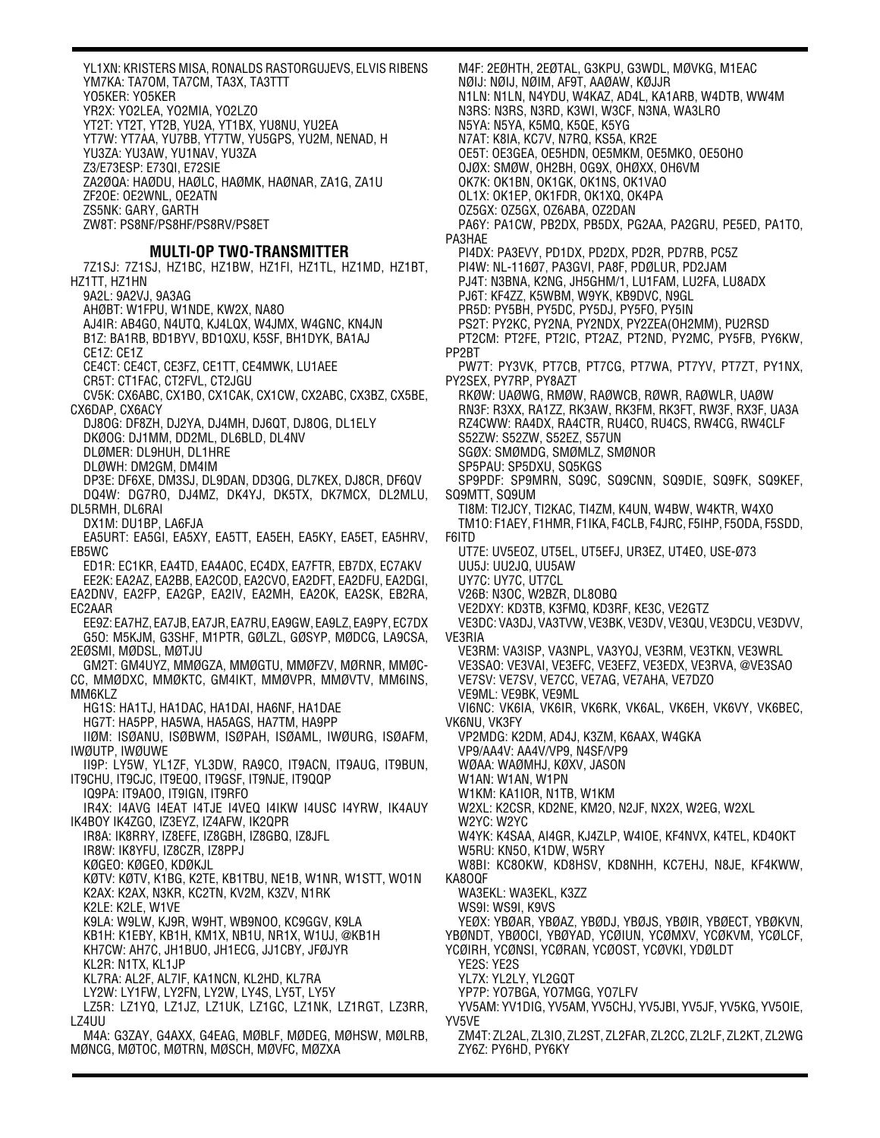YL1XN: KRISTERS MISA, RONALDS RASTORGUJEVS, ELVIS RIBENS YM7KA: TA7OM, TA7CM, TA3X, TA3TTT YO5KER: YO5KER YR2X: YO2LEA, YO2MIA, YO2LZO YT2T: YT2T, YT2B, YU2A, YT1BX, YU8NU, YU2EA YT7W: YT7AA, YU7BB, YT7TW, YU5GPS, YU2M, NENAD, H YU3ZA: YU3AW, YU1NAV, YU3ZA Z3/E73ESP: E73QI, E72SIE ZA2ØQA: HAØDU, HAØLC, HAØMK, HAØNAR, ZA1G, ZA1U ZF2OE: OE2WNL, OE2ATN ZS5NK: GARY, GARTH ZW8T: PS8NF/PS8HF/PS8RV/PS8ET **MULTI-OP TWO-TRANSMITTER** 7Z1SJ: 7Z1SJ, HZ1BC, HZ1BW, HZ1FI, HZ1TL, HZ1MD, HZ1BT, HZ1TT, HZ1HN 9A2L: 9A2VJ, 9A3AG AHØBT: W1FPU, W1NDE, KW2X, NA8O AJ4IR: AB4GO, N4UTQ, KJ4LQX, W4JMX, W4GNC, KN4JN B1Z: BA1RB, BD1BYV, BD1QXU, K5SF, BH1DYK, BA1AJ CE1Z: CE1Z CE4CT: CE4CT, CE3FZ, CE1TT, CE4MWK, LU1AEE CR5T: CT1FAC, CT2FVL, CT2JGU CV5K: CX6ABC, CX1BO, CX1CAK, CX1CW, CX2ABC, CX3BZ, CX5BE, CX6DAP, CX6ACY DJ8OG: DF8ZH, DJ2YA, DJ4MH, DJ6QT, DJ8OG, DL1ELY DKØOG: DJ1MM, DD2ML, DL6BLD, DL4NV DLØMER: DL9HUH, DL1HRE DLØWH: DM2GM, DM4IM DP3E: DF6XE, DM3SJ, DL9DAN, DD3QG, DL7KEX, DJ8CR, DF6QV DQ4W: DG7RO, DJ4MZ, DK4YJ, DK5TX, DK7MCX, DL2MLU, DL5RMH, DL6RAI DX1M: DU1BP, LA6FJA EA5URT: EA5GI, EA5XY, EA5TT, EA5EH, EA5KY, EA5ET, EA5HRV, EB5WC ED1R: EC1KR, EA4TD, EA4AOC, EC4DX, EA7FTR, EB7DX, EC7AKV EE2K: EA2AZ, EA2BB, EA2COD, EA2CVO, EA2DFT, EA2DFU, EA2DGI, EA2DNV, EA2FP, EA2GP, EA2IV, EA2MH, EA2OK, EA2SK, EB2RA, EC2AAR EE9Z: EA7HZ, EA7JB, EA7JR, EA7RU, EA9GW, EA9LZ, EA9PY, EC7DX G5O: M5KJM, G3SHF, M1PTR, GØLZL, GØSYP, MØDCG, LA9CSA, 2EØSMI, MØDSL, MØTJU GM2T: GM4UYZ, MMØGZA, MMØGTU, MMØFZV, MØRNR, MMØC-CC, MMØDXC, MMØKTC, GM4IKT, MMØVPR, MMØVTV, MM6INS, MM6KLZ HG1S: HA1TJ, HA1DAC, HA1DAI, HA6NF, HA1DAE HG7T: HA5PP, HA5WA, HA5AGS, HA7TM, HA9PP IIØM: ISØANU, ISØBWM, ISØPAH, ISØAML, IWØURG, ISØAFM, IWØUTP, IWØUWE II9P: LY5W, YL1ZF, YL3DW, RA9CO, IT9ACN, IT9AUG, IT9BUN, IT9CHU, IT9CJC, IT9EQO, IT9GSF, IT9NJE, IT9QQP IQ9PA: IT9AOO, IT9IGN, IT9RFO IR4X: I4AVG I4EAT I4TJE I4VEQ I4IKW I4USC I4YRW, IK4AUY IK4BOY IK4ZGO, IZ3EYZ, IZ4AFW, IK2QPR IR8A: IK8RRY, IZ8EFE, IZ8GBH, IZ8GBQ, IZ8JFL IR8W: IK8YFU, IZ8CZR, IZ8PPJ KØGEO: KØGEO, KDØKJL KØTV: KØTV, K1BG, K2TE, KB1TBU, NE1B, W1NR, W1STT, WO1N K2AX: K2AX, N3KR, KC2TN, KV2M, K3ZV, N1RK K2LE: K2LE, W1VE K9LA: W9LW, KJ9R, W9HT, WB9NOO, KC9GGV, K9LA KB1H: K1EBY, KB1H, KM1X, NB1U, NR1X, W1UJ, @KB1H KH7CW: AH7C, JH1BUO, JH1ECG, JJ1CBY, JFØJYR KL2R: N1TX, KL1JP KL7RA: AL2F, AL7IF, KA1NCN, KL2HD, KL7RA LY2W: LY1FW, LY2FN, LY2W, LY4S, LY5T, LY5Y LZ5R: LZ1YQ, LZ1JZ, LZ1UK, LZ1GC, LZ1NK, LZ1RGT, LZ3RR, LZ4UU M4A: G3ZAY, G4AXX, G4EAG, MØBLF, MØDEG, MØHSW, MØLRB,

MØNCG, MØTOC, MØTRN, MØSCH, MØVFC, MØZXA

M4F: 2EØHTH, 2EØTAL, G3KPU, G3WDL, MØVKG, M1EAC NØIJ: NØIJ, NØIM, AF9T, AAØAW, KØJJR N1LN: N1LN, N4YDU, W4KAZ, AD4L, KA1ARB, W4DTB, WW4M N3RS: N3RS, N3RD, K3WI, W3CF, N3NA, WA3LRO N5YA: N5YA, K5MQ, K5QE, K5YG N7AT: K8IA, KC7V, N7RQ, KS5A, KR2E OE5T: OE3GEA, OE5HDN, OE5MKM, OE5MKO, OE5OHO OJØX: SMØW, OH2BH, OG9X, OHØXX, OH6VM OK7K: OK1BN, OK1GK, OK1NS, OK1VAO OL1X: OK1EP, OK1FDR, OK1XQ, OK4PA OZ5GX: OZ5GX, OZ6ABA, OZ2DAN PA6Y: PA1CW, PB2DX, PB5DX, PG2AA, PA2GRU, PE5ED, PA1TO, PA3HAE PI4DX: PA3EVY, PD1DX, PD2DX, PD2R, PD7RB, PC5Z PI4W: NL-116Ø7, PA3GVI, PA8F, PDØLUR, PD2JAM PJ4T: N3BNA, K2NG, JH5GHM/1, LU1FAM, LU2FA, LU8ADX PJ6T: KF4ZZ, K5WBM, W9YK, KB9DVC, N9GL PR5D: PY5BH, PY5DC, PY5DJ, PY5FO, PY5IN PS2T: PY2KC, PY2NA, PY2NDX, PY2ZEA(OH2MM), PU2RSD PT2CM: PT2FE, PT2IC, PT2AZ, PT2ND, PY2MC, PY5FB, PY6KW, PP2BT PW7T: PY3VK, PT7CB, PT7CG, PT7WA, PT7YV, PT7ZT, PY1NX, PY2SEX, PY7RP, PY8AZT RKØW: UAØWG, RMØW, RAØWCB, RØWR, RAØWLR, UAØW RN3F: R3XX, RA1ZZ, RK3AW, RK3FM, RK3FT, RW3F, RX3F, UA3A RZ4CWW: RA4DX, RA4CTR, RU4CO, RU4CS, RW4CG, RW4CLF S52ZW: S52ZW, S52EZ, S57UN SGØX: SMØMDG, SMØMLZ, SMØNOR SP5PAU: SP5DXU, SQ5KGS SP9PDF: SP9MRN, SQ9C, SQ9CNN, SQ9DIE, SQ9FK, SQ9KEF, SQ9MTT, SQ9UM TI8M: TI2JCY, TI2KAC, TI4ZM, K4UN, W4BW, W4KTR, W4XO TM1O: F1AEY, F1HMR, F1IKA, F4CLB, F4JRC, F5IHP, F5ODA, F5SDD, F6ITD UT7E: UV5EOZ, UT5EL, UT5EFJ, UR3EZ, UT4EO, USE-Ø73 UU5J: UU2JQ, UU5AW UY7C: UY7C, UT7CL V26B: N3OC, W2BZR, DL8OBQ VE2DXY: KD3TB, K3FMQ, KD3RF, KE3C, VE2GTZ VE3DC: VA3DJ, VA3TVW, VE3BK, VE3DV, VE3QU, VE3DCU, VE3DVV, VE3RIA VE3RM: VA3ISP, VA3NPL, VA3YOJ, VE3RM, VE3TKN, VE3WRL VE3SAO: VE3VAI, VE3EFC, VE3EFZ, VE3EDX, VE3RVA, @VE3SAO VE7SV: VE7SV, VE7CC, VE7AG, VE7AHA, VE7DZO VE9ML: VE9BK, VE9ML VI6NC: VK6IA, VK6IR, VK6RK, VK6AL, VK6EH, VK6VY, VK6BEC, VK6NU, VK3FY VP2MDG: K2DM, AD4J, K3ZM, K6AAX, W4GKA VP9/AA4V: AA4V/VP9, N4SF/VP9 WØAA: WAØMHJ, KØXV, JASON W1AN: W1AN, W1PN W1KM: KA1IOR, N1TB, W1KM W2XL: K2CSR, KD2NE, KM2O, N2JF, NX2X, W2EG, W2XL W2YC: W2YC W4YK: K4SAA, AI4GR, KJ4ZLP, W4IOE, KF4NVX, K4TEL, KD4OKT W5RU: KN5O, K1DW, W5RY W8BI: KC8OKW, KD8HSV, KD8NHH, KC7EHJ, N8JE, KF4KWW, KA8OQF WA3EKL: WA3EKL, K3ZZ WS9I: WS9I, K9VS YEØX: YBØAR, YBØAZ, YBØDJ, YBØJS, YBØIR, YBØECT, YBØKVN, YBØNDT, YBØOCI, YBØYAD, YCØIUN, YCØMXV, YCØKVM, YCØLCF, YCØIRH, YCØNSI, YCØRAN, YCØOST, YCØVKI, YDØLDT YE2S: YE2S YL7X: YL2LY, YL2GQT YP7P: YO7BGA, YO7MGG, YO7LFV YV5AM: YV1DIG, YV5AM, YV5CHJ, YV5JBI, YV5JF, YV5KG, YV5OIE, YV5VE ZM4T: ZL2AL, ZL3IO, ZL2ST, ZL2FAR, ZL2CC, ZL2LF, ZL2KT, ZL2WG

ZY6Z: PY6HD, PY6KY